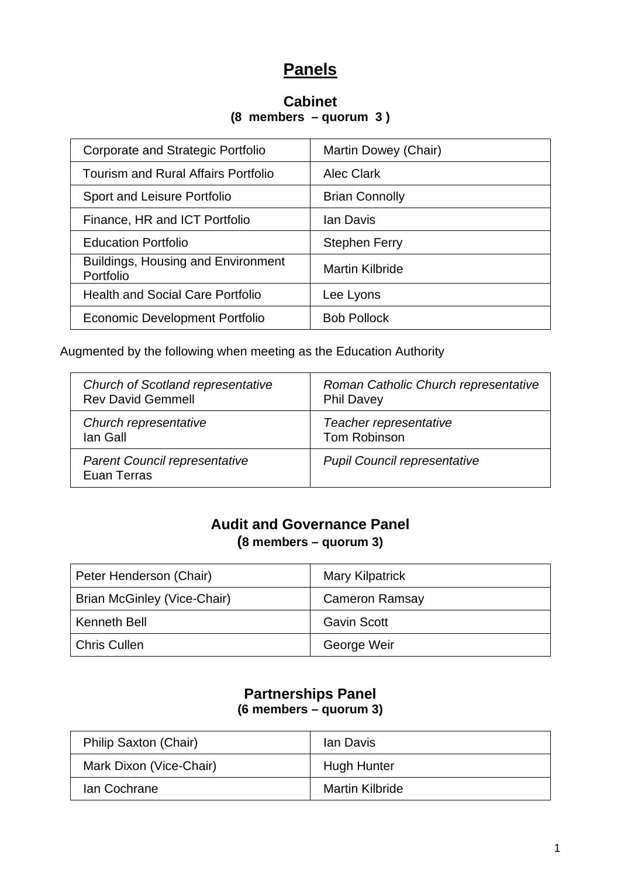# **Panels**

#### **Cabinet (8 members – quorum 3 )**

| Corporate and Strategic Portfolio                      | Martin Dowey (Chair)   |
|--------------------------------------------------------|------------------------|
| <b>Tourism and Rural Affairs Portfolio</b>             | <b>Alec Clark</b>      |
| Sport and Leisure Portfolio                            | <b>Brian Connolly</b>  |
| Finance, HR and ICT Portfolio                          | Ian Davis              |
| <b>Education Portfolio</b>                             | <b>Stephen Ferry</b>   |
| <b>Buildings, Housing and Environment</b><br>Portfolio | <b>Martin Kilbride</b> |
| <b>Health and Social Care Portfolio</b>                | Lee Lyons              |
| Economic Development Portfolio                         | <b>Bob Pollock</b>     |

Augmented by the following when meeting as the Education Authority

| <b>Church of Scotland representative</b>            | Roman Catholic Church representative |
|-----------------------------------------------------|--------------------------------------|
| <b>Rev David Gemmell</b>                            | <b>Phil Davey</b>                    |
| Church representative                               | Teacher representative               |
| lan Gall                                            | Tom Robinson                         |
| <b>Parent Council representative</b><br>Euan Terras | <b>Pupil Council representative</b>  |

### **Audit and Governance Panel (8 members – quorum 3)**

| Peter Henderson (Chair)     | <b>Mary Kilpatrick</b> |
|-----------------------------|------------------------|
| Brian McGinley (Vice-Chair) | <b>Cameron Ramsay</b>  |
| Kenneth Bell                | <b>Gavin Scott</b>     |
| <b>Chris Cullen</b>         | George Weir            |

### **Partnerships Panel (6 members – quorum 3)**

| Philip Saxton (Chair)   | lan Davis              |
|-------------------------|------------------------|
| Mark Dixon (Vice-Chair) | Hugh Hunter            |
| Ian Cochrane            | <b>Martin Kilbride</b> |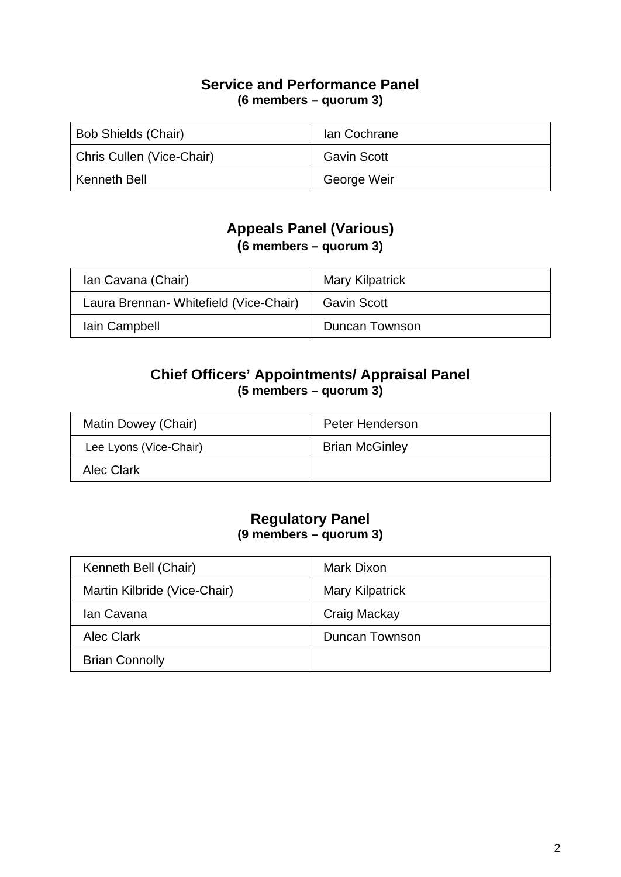#### **Service and Performance Panel (6 members – quorum 3)**

| <b>Bob Shields (Chair)</b> | Ian Cochrane       |
|----------------------------|--------------------|
| Chris Cullen (Vice-Chair)  | <b>Gavin Scott</b> |
| Kenneth Bell               | George Weir        |

# **Appeals Panel (Various)**

**(6 members – quorum 3)**

| Ian Cavana (Chair)                     | <b>Mary Kilpatrick</b> |
|----------------------------------------|------------------------|
| Laura Brennan- Whitefield (Vice-Chair) | <b>Gavin Scott</b>     |
| lain Campbell                          | Duncan Townson         |

### **Chief Officers' Appointments/ Appraisal Panel (5 members – quorum 3)**

| Matin Dowey (Chair)    | Peter Henderson       |
|------------------------|-----------------------|
| Lee Lyons (Vice-Chair) | <b>Brian McGinley</b> |
| Alec Clark             |                       |

#### **Regulatory Panel (9 members – quorum 3)**

| Kenneth Bell (Chair)         | Mark Dixon             |
|------------------------------|------------------------|
| Martin Kilbride (Vice-Chair) | <b>Mary Kilpatrick</b> |
| Ian Cavana                   | Craig Mackay           |
| <b>Alec Clark</b>            | Duncan Townson         |
| <b>Brian Connolly</b>        |                        |